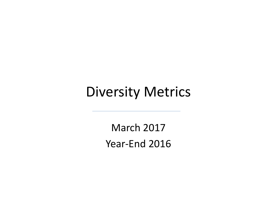# Diversity Metrics

March 2017 Year ‐End 2016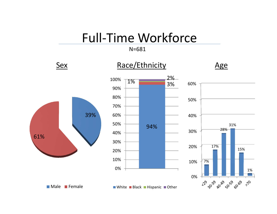## Full‐Time Workforce

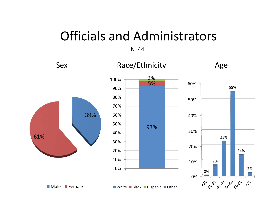## Officials and Administrators

#### **Sex** Race/Ethnicity Age N=44

55%

14%

2%

 $7^\circ$ 

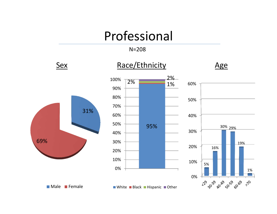## Professional

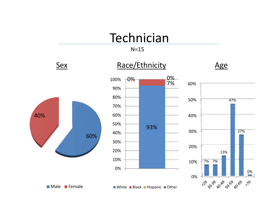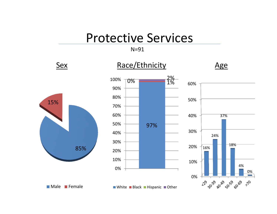### Protective Services

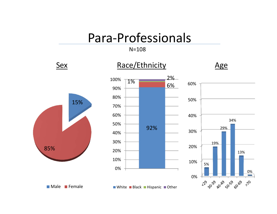### Para‐Professionals

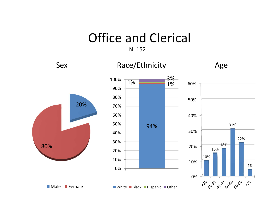### Office and Clerical

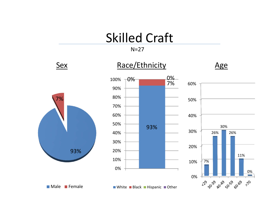## Skilled Craft

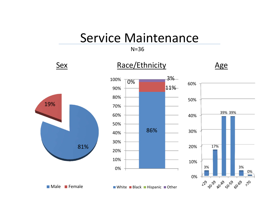#### Service Maintenance

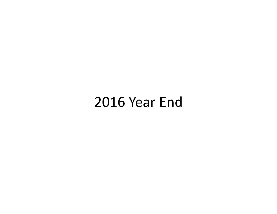## Year End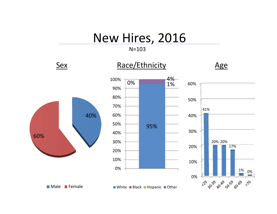### New Hires, 2016

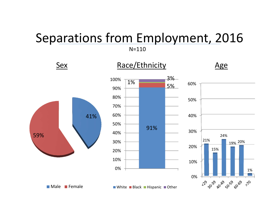## Separations from Employment, 2016